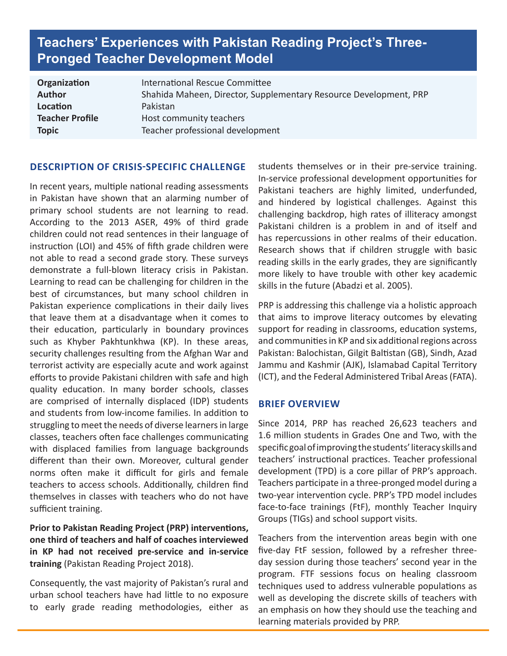# **Teachers' Experiences with Pakistan Reading Project's Three-Pronged Teacher Development Model**

| International Rescue Committee                                    |
|-------------------------------------------------------------------|
| Shahida Maheen, Director, Supplementary Resource Development, PRP |
| Pakistan                                                          |
| Host community teachers                                           |
| Teacher professional development                                  |
|                                                                   |

#### **DESCRIPTION OF CRISIS-SPECIFIC CHALLENGE**

In recent years, multiple national reading assessments in Pakistan have shown that an alarming number of primary school students are not learning to read. According to the 2013 ASER, 49% of third grade children could not read sentences in their language of instruction (LOI) and 45% of fifth grade children were not able to read a second grade story. These surveys demonstrate a full-blown literacy crisis in Pakistan. Learning to read can be challenging for children in the best of circumstances, but many school children in Pakistan experience complications in their daily lives that leave them at a disadvantage when it comes to their education, particularly in boundary provinces such as Khyber Pakhtunkhwa (KP). In these areas, security challenges resulting from the Afghan War and terrorist activity are especially acute and work against efforts to provide Pakistani children with safe and high quality education. In many border schools, classes are comprised of internally displaced (IDP) students and students from low-income families. In addition to struggling to meet the needs of diverse learners in large classes, teachers often face challenges communicating with displaced families from language backgrounds different than their own. Moreover, cultural gender norms often make it difficult for girls and female teachers to access schools. Additionally, children find themselves in classes with teachers who do not have sufficient training.

## **Prior to Pakistan Reading Project (PRP) interventions, one third of teachers and half of coaches interviewed in KP had not received pre-service and in-service training** (Pakistan Reading Project 2018).

Consequently, the vast majority of Pakistan's rural and urban school teachers have had little to no exposure to early grade reading methodologies, either as students themselves or in their pre-service training. In-service professional development opportunities for Pakistani teachers are highly limited, underfunded, and hindered by logistical challenges. Against this challenging backdrop, high rates of illiteracy amongst Pakistani children is a problem in and of itself and has repercussions in other realms of their education. Research shows that if children struggle with basic reading skills in the early grades, they are significantly more likely to have trouble with other key academic skills in the future (Abadzi et al. 2005).

PRP is addressing this challenge via a holistic approach that aims to improve literacy outcomes by elevating support for reading in classrooms, education systems, and communities in KP and six additional regions across Pakistan: Balochistan, Gilgit Baltistan (GB), Sindh, Azad Jammu and Kashmir (AJK), Islamabad Capital Territory (ICT), and the Federal Administered Tribal Areas (FATA).

#### **BRIEF OVERVIEW**

Since 2014, PRP has reached 26,623 teachers and 1.6 million students in Grades One and Two, with the specific goal of improving the students' literacy skills and teachers' instructional practices. Teacher professional development (TPD) is a core pillar of PRP's approach. Teachers participate in a three-pronged model during a two-year intervention cycle. PRP's TPD model includes face-to-face trainings (FtF), monthly Teacher Inquiry Groups (TIGs) and school support visits.

Teachers from the intervention areas begin with one five-day FtF session, followed by a refresher threeday session during those teachers' second year in the program. FTF sessions focus on healing classroom techniques used to address vulnerable populations as well as developing the discrete skills of teachers with an emphasis on how they should use the teaching and learning materials provided by PRP.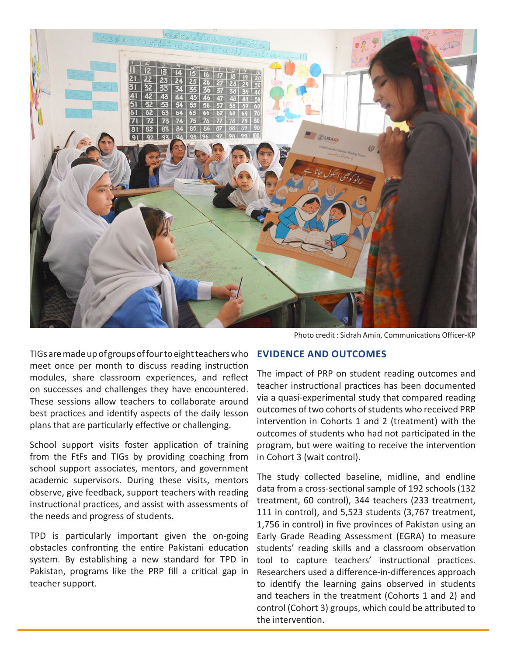

Photo credit : Sidrah Amin, Communications Officer-KP

TIGs are made up of groups of four to eight teachers who meet once per month to discuss reading instruction modules, share classroom experiences, and reflect on successes and challenges they have encountered. These sessions allow teachers to collaborate around best practices and identify aspects of the daily lesson plans that are particularly effective or challenging.

School support visits foster application of training from the FtFs and TIGs by providing coaching from school support associates, mentors, and government academic supervisors. During these visits, mentors observe, give feedback, support teachers with reading instructional practices, and assist with assessments of the needs and progress of students.

TPD is particularly important given the on-going obstacles confronting the entire Pakistani education system. By establishing a new standard for TPD in Pakistan, programs like the PRP fill a critical gap in teacher support.

### **EVIDENCE AND OUTCOMES**

The impact of PRP on student reading outcomes and teacher instructional practices has been documented via a quasi-experimental study that compared reading outcomes of two cohorts of students who received PRP intervention in Cohorts 1 and 2 (treatment) with the outcomes of students who had not participated in the program, but were waiting to receive the intervention in Cohort 3 (wait control).

The study collected baseline, midline, and endline data from a cross-sectional sample of 192 schools (132 treatment, 60 control), 344 teachers (233 treatment, 111 in control), and 5,523 students (3,767 treatment, 1,756 in control) in five provinces of Pakistan using an Early Grade Reading Assessment (EGRA) to measure students' reading skills and a classroom observation tool to capture teachers' instructional practices. Researchers used a difference-in-differences approach to identify the learning gains observed in students and teachers in the treatment (Cohorts 1 and 2) and control (Cohort 3) groups, which could be attributed to the intervention.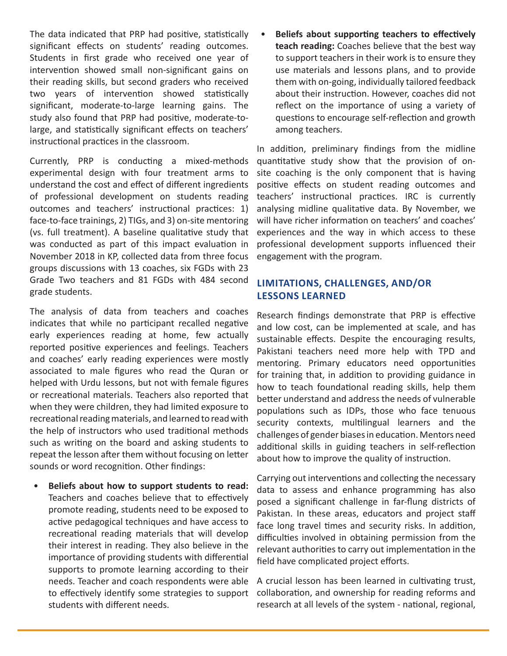The data indicated that PRP had positive, statistically significant effects on students' reading outcomes. Students in first grade who received one year of intervention showed small non-significant gains on their reading skills, but second graders who received two years of intervention showed statistically significant, moderate-to-large learning gains. The study also found that PRP had positive, moderate-tolarge, and statistically significant effects on teachers' instructional practices in the classroom.

Currently, PRP is conducting a mixed-methods experimental design with four treatment arms to understand the cost and effect of different ingredients of professional development on students reading outcomes and teachers' instructional practices: 1) face-to-face trainings, 2) TIGs, and 3) on-site mentoring (vs. full treatment). A baseline qualitative study that was conducted as part of this impact evaluation in November 2018 in KP, collected data from three focus groups discussions with 13 coaches, six FGDs with 23 Grade Two teachers and 81 FGDs with 484 second grade students.

The analysis of data from teachers and coaches indicates that while no participant recalled negative early experiences reading at home, few actually reported positive experiences and feelings. Teachers and coaches' early reading experiences were mostly associated to male figures who read the Quran or helped with Urdu lessons, but not with female figures or recreational materials. Teachers also reported that when they were children, they had limited exposure to recreational reading materials, and learned to read with the help of instructors who used traditional methods such as writing on the board and asking students to repeat the lesson after them without focusing on letter sounds or word recognition. Other findings:

• **Beliefs about how to support students to read:**  Teachers and coaches believe that to effectively promote reading, students need to be exposed to active pedagogical techniques and have access to recreational reading materials that will develop their interest in reading. They also believe in the importance of providing students with differential supports to promote learning according to their needs. Teacher and coach respondents were able to effectively identify some strategies to support students with different needs.

• **Beliefs about supporting teachers to effectively teach reading:** Coaches believe that the best way to support teachers in their work is to ensure they use materials and lessons plans, and to provide them with on-going, individually tailored feedback about their instruction. However, coaches did not reflect on the importance of using a variety of questions to encourage self-reflection and growth among teachers.

In addition, preliminary findings from the midline quantitative study show that the provision of onsite coaching is the only component that is having positive effects on student reading outcomes and teachers' instructional practices. IRC is currently analysing midline qualitative data. By November, we will have richer information on teachers' and coaches' experiences and the way in which access to these professional development supports influenced their engagement with the program.

## **LIMITATIONS, CHALLENGES, AND/OR LESSONS LEARNED**

Research findings demonstrate that PRP is effective and low cost, can be implemented at scale, and has sustainable effects. Despite the encouraging results, Pakistani teachers need more help with TPD and mentoring. Primary educators need opportunities for training that, in addition to providing guidance in how to teach foundational reading skills, help them better understand and address the needs of vulnerable populations such as IDPs, those who face tenuous security contexts, multilingual learners and the challenges of gender biases in education. Mentors need additional skills in guiding teachers in self-reflection about how to improve the quality of instruction.

Carrying out interventions and collecting the necessary data to assess and enhance programming has also posed a significant challenge in far-flung districts of Pakistan. In these areas, educators and project staff face long travel times and security risks. In addition, difficulties involved in obtaining permission from the relevant authorities to carry out implementation in the field have complicated project efforts.

A crucial lesson has been learned in cultivating trust, collaboration, and ownership for reading reforms and research at all levels of the system - national, regional,